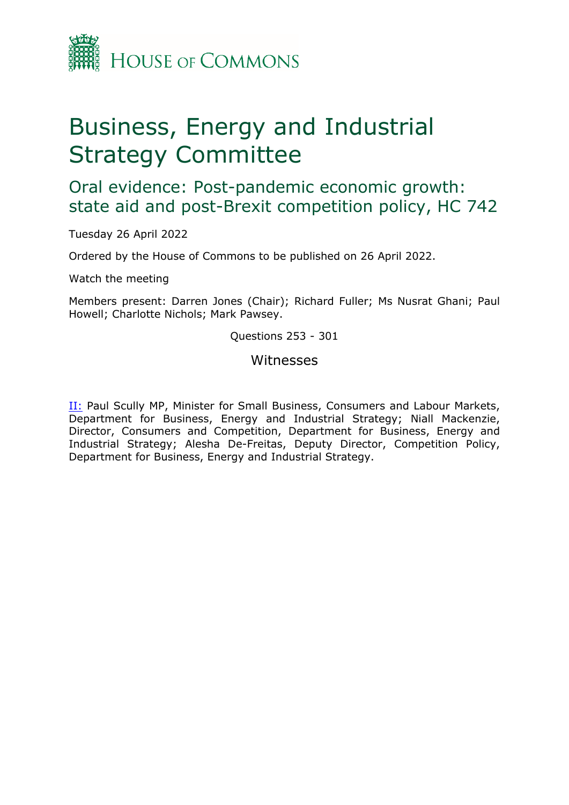

# Business, Energy and Industrial Strategy Committee

Oral evidence: Post-pandemic economic growth: state aid and post-Brexit competition policy, HC 742

Tuesday 26 April 2022

Ordered by the House of Commons to be published on 26 April 2022.

Watch the meeting

Members present: Darren Jones (Chair); Richard Fuller; Ms Nusrat Ghani; Paul Howell; Charlotte Nichols; Mark Pawsey.

Questions 253 - 301

## Witnesses

[II:](#page-1-0) Paul Scully MP, Minister for Small Business, Consumers and Labour Markets, Department for Business, Energy and Industrial Strategy; Niall Mackenzie, Director, Consumers and Competition, Department for Business, Energy and Industrial Strategy; Alesha De-Freitas, Deputy Director, Competition Policy, Department for Business, Energy and Industrial Strategy.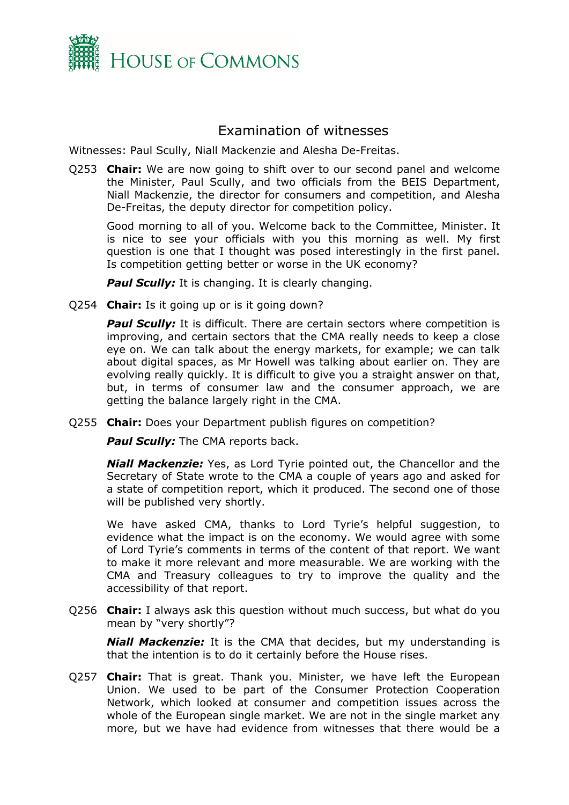

## <span id="page-1-0"></span>Examination of witnesses

Witnesses: Paul Scully, Niall Mackenzie and Alesha De-Freitas.

Q253 **Chair:** We are now going to shift over to our second panel and welcome the Minister, Paul Scully, and two officials from the BEIS Department, Niall Mackenzie, the director for consumers and competition, and Alesha De-Freitas, the deputy director for competition policy.

Good morning to all of you. Welcome back to the Committee, Minister. It is nice to see your officials with you this morning as well. My first question is one that I thought was posed interestingly in the first panel. Is competition getting better or worse in the UK economy?

**Paul Scully:** It is changing. It is clearly changing.

Q254 **Chair:** Is it going up or is it going down?

*Paul Scully:* It is difficult. There are certain sectors where competition is improving, and certain sectors that the CMA really needs to keep a close eye on. We can talk about the energy markets, for example; we can talk about digital spaces, as Mr Howell was talking about earlier on. They are evolving really quickly. It is difficult to give you a straight answer on that, but, in terms of consumer law and the consumer approach, we are getting the balance largely right in the CMA.

Q255 **Chair:** Does your Department publish figures on competition?

**Paul Scully:** The CMA reports back.

*Niall Mackenzie:* Yes, as Lord Tyrie pointed out, the Chancellor and the Secretary of State wrote to the CMA a couple of years ago and asked for a state of competition report, which it produced. The second one of those will be published very shortly.

We have asked CMA, thanks to Lord Tyrie's helpful suggestion, to evidence what the impact is on the economy. We would agree with some of Lord Tyrie's comments in terms of the content of that report. We want to make it more relevant and more measurable. We are working with the CMA and Treasury colleagues to try to improve the quality and the accessibility of that report.

Q256 **Chair:** I always ask this question without much success, but what do you mean by "very shortly"?

*Niall Mackenzie:* It is the CMA that decides, but my understanding is that the intention is to do it certainly before the House rises.

Q257 **Chair:** That is great. Thank you. Minister, we have left the European Union. We used to be part of the Consumer Protection Cooperation Network, which looked at consumer and competition issues across the whole of the European single market. We are not in the single market any more, but we have had evidence from witnesses that there would be a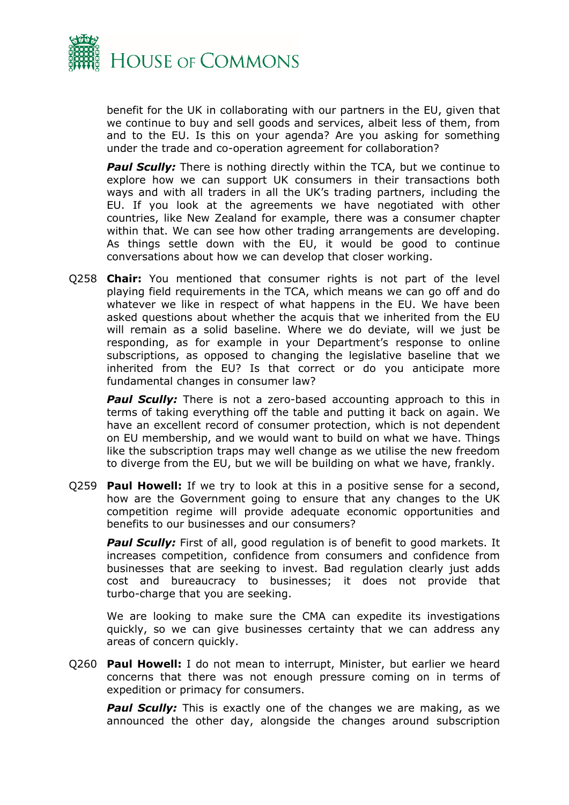

benefit for the UK in collaborating with our partners in the EU, given that we continue to buy and sell goods and services, albeit less of them, from and to the EU. Is this on your agenda? Are you asking for something under the trade and co-operation agreement for collaboration?

**Paul Scully:** There is nothing directly within the TCA, but we continue to explore how we can support UK consumers in their transactions both ways and with all traders in all the UK's trading partners, including the EU. If you look at the agreements we have negotiated with other countries, like New Zealand for example, there was a consumer chapter within that. We can see how other trading arrangements are developing. As things settle down with the EU, it would be good to continue conversations about how we can develop that closer working.

Q258 **Chair:** You mentioned that consumer rights is not part of the level playing field requirements in the TCA, which means we can go off and do whatever we like in respect of what happens in the EU. We have been asked questions about whether the acquis that we inherited from the EU will remain as a solid baseline. Where we do deviate, will we just be responding, as for example in your Department's response to online subscriptions, as opposed to changing the legislative baseline that we inherited from the EU? Is that correct or do you anticipate more fundamental changes in consumer law?

*Paul Scully:* There is not a zero-based accounting approach to this in terms of taking everything off the table and putting it back on again. We have an excellent record of consumer protection, which is not dependent on EU membership, and we would want to build on what we have. Things like the subscription traps may well change as we utilise the new freedom to diverge from the EU, but we will be building on what we have, frankly.

Q259 **Paul Howell:** If we try to look at this in a positive sense for a second, how are the Government going to ensure that any changes to the UK competition regime will provide adequate economic opportunities and benefits to our businesses and our consumers?

**Paul Scully:** First of all, good regulation is of benefit to good markets. It increases competition, confidence from consumers and confidence from businesses that are seeking to invest. Bad regulation clearly just adds cost and bureaucracy to businesses; it does not provide that turbo-charge that you are seeking.

We are looking to make sure the CMA can expedite its investigations quickly, so we can give businesses certainty that we can address any areas of concern quickly.

Q260 **Paul Howell:** I do not mean to interrupt, Minister, but earlier we heard concerns that there was not enough pressure coming on in terms of expedition or primacy for consumers.

**Paul Scully:** This is exactly one of the changes we are making, as we announced the other day, alongside the changes around subscription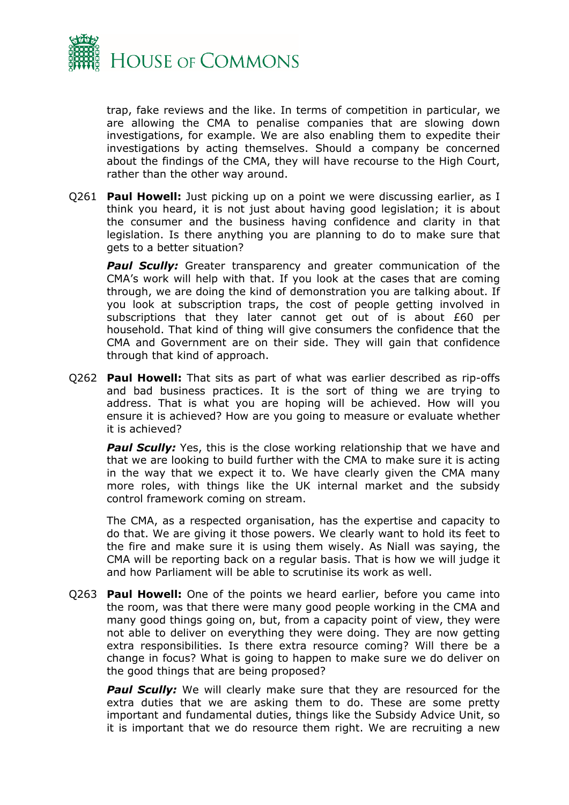

trap, fake reviews and the like. In terms of competition in particular, we are allowing the CMA to penalise companies that are slowing down investigations, for example. We are also enabling them to expedite their investigations by acting themselves. Should a company be concerned about the findings of the CMA, they will have recourse to the High Court, rather than the other way around.

Q261 **Paul Howell:** Just picking up on a point we were discussing earlier, as I think you heard, it is not just about having good legislation; it is about the consumer and the business having confidence and clarity in that legislation. Is there anything you are planning to do to make sure that gets to a better situation?

**Paul Scully:** Greater transparency and greater communication of the CMA's work will help with that. If you look at the cases that are coming through, we are doing the kind of demonstration you are talking about. If you look at subscription traps, the cost of people getting involved in subscriptions that they later cannot get out of is about £60 per household. That kind of thing will give consumers the confidence that the CMA and Government are on their side. They will gain that confidence through that kind of approach.

Q262 **Paul Howell:** That sits as part of what was earlier described as rip-offs and bad business practices. It is the sort of thing we are trying to address. That is what you are hoping will be achieved. How will you ensure it is achieved? How are you going to measure or evaluate whether it is achieved?

**Paul Scully:** Yes, this is the close working relationship that we have and that we are looking to build further with the CMA to make sure it is acting in the way that we expect it to. We have clearly given the CMA many more roles, with things like the UK internal market and the subsidy control framework coming on stream.

The CMA, as a respected organisation, has the expertise and capacity to do that. We are giving it those powers. We clearly want to hold its feet to the fire and make sure it is using them wisely. As Niall was saying, the CMA will be reporting back on a regular basis. That is how we will judge it and how Parliament will be able to scrutinise its work as well.

Q263 **Paul Howell:** One of the points we heard earlier, before you came into the room, was that there were many good people working in the CMA and many good things going on, but, from a capacity point of view, they were not able to deliver on everything they were doing. They are now getting extra responsibilities. Is there extra resource coming? Will there be a change in focus? What is going to happen to make sure we do deliver on the good things that are being proposed?

**Paul Scully:** We will clearly make sure that they are resourced for the extra duties that we are asking them to do. These are some pretty important and fundamental duties, things like the Subsidy Advice Unit, so it is important that we do resource them right. We are recruiting a new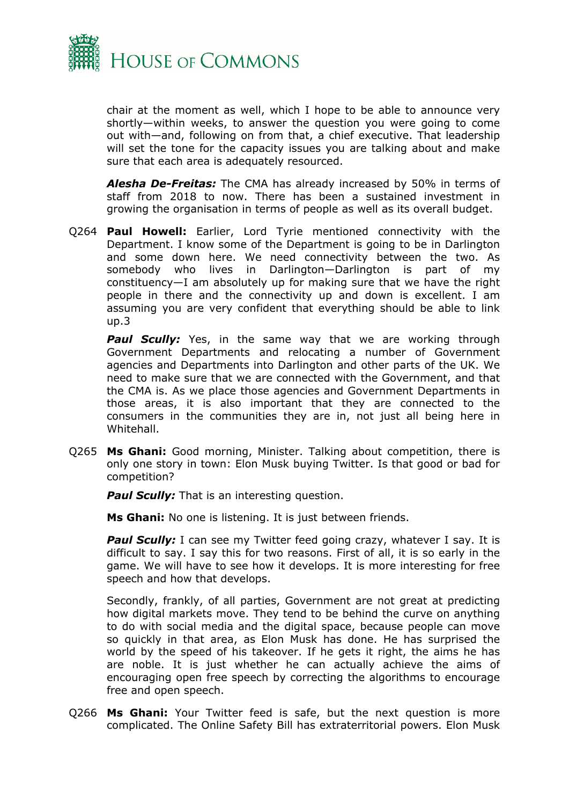

chair at the moment as well, which I hope to be able to announce very shortly—within weeks, to answer the question you were going to come out with—and, following on from that, a chief executive. That leadership will set the tone for the capacity issues you are talking about and make sure that each area is adequately resourced.

*Alesha De-Freitas:* The CMA has already increased by 50% in terms of staff from 2018 to now. There has been a sustained investment in growing the organisation in terms of people as well as its overall budget.

Q264 **Paul Howell:** Earlier, Lord Tyrie mentioned connectivity with the Department. I know some of the Department is going to be in Darlington and some down here. We need connectivity between the two. As somebody who lives in Darlington—Darlington is part of my constituency—I am absolutely up for making sure that we have the right people in there and the connectivity up and down is excellent. I am assuming you are very confident that everything should be able to link up.3

**Paul Scully:** Yes, in the same way that we are working through Government Departments and relocating a number of Government agencies and Departments into Darlington and other parts of the UK. We need to make sure that we are connected with the Government, and that the CMA is. As we place those agencies and Government Departments in those areas, it is also important that they are connected to the consumers in the communities they are in, not just all being here in Whitehall.

Q265 **Ms Ghani:** Good morning, Minister. Talking about competition, there is only one story in town: Elon Musk buying Twitter. Is that good or bad for competition?

**Paul Scully:** That is an interesting question.

**Ms Ghani:** No one is listening. It is just between friends.

**Paul Scully:** I can see my Twitter feed going crazy, whatever I say. It is difficult to say. I say this for two reasons. First of all, it is so early in the game. We will have to see how it develops. It is more interesting for free speech and how that develops.

Secondly, frankly, of all parties, Government are not great at predicting how digital markets move. They tend to be behind the curve on anything to do with social media and the digital space, because people can move so quickly in that area, as Elon Musk has done. He has surprised the world by the speed of his takeover. If he gets it right, the aims he has are noble. It is just whether he can actually achieve the aims of encouraging open free speech by correcting the algorithms to encourage free and open speech.

Q266 **Ms Ghani:** Your Twitter feed is safe, but the next question is more complicated. The Online Safety Bill has extraterritorial powers. Elon Musk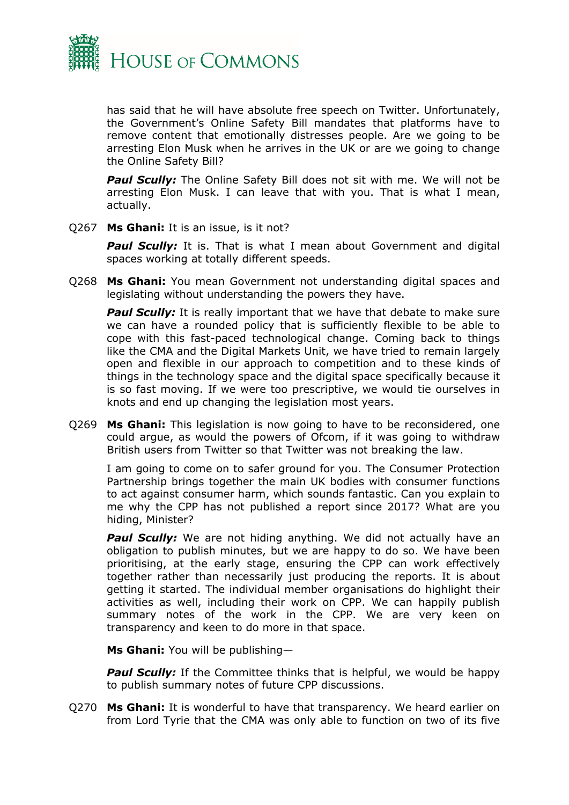

has said that he will have absolute free speech on Twitter. Unfortunately, the Government's Online Safety Bill mandates that platforms have to remove content that emotionally distresses people. Are we going to be arresting Elon Musk when he arrives in the UK or are we going to change the Online Safety Bill?

**Paul Scully:** The Online Safety Bill does not sit with me. We will not be arresting Elon Musk. I can leave that with you. That is what I mean, actually.

Q267 **Ms Ghani:** It is an issue, is it not?

**Paul Scully:** It is. That is what I mean about Government and digital spaces working at totally different speeds.

Q268 **Ms Ghani:** You mean Government not understanding digital spaces and legislating without understanding the powers they have.

**Paul Scully:** It is really important that we have that debate to make sure we can have a rounded policy that is sufficiently flexible to be able to cope with this fast-paced technological change. Coming back to things like the CMA and the Digital Markets Unit, we have tried to remain largely open and flexible in our approach to competition and to these kinds of things in the technology space and the digital space specifically because it is so fast moving. If we were too prescriptive, we would tie ourselves in knots and end up changing the legislation most years.

Q269 **Ms Ghani:** This legislation is now going to have to be reconsidered, one could argue, as would the powers of Ofcom, if it was going to withdraw British users from Twitter so that Twitter was not breaking the law.

I am going to come on to safer ground for you. The Consumer Protection Partnership brings together the main UK bodies with consumer functions to act against consumer harm, which sounds fantastic. Can you explain to me why the CPP has not published a report since 2017? What are you hiding, Minister?

**Paul Scully:** We are not hiding anything. We did not actually have an obligation to publish minutes, but we are happy to do so. We have been prioritising, at the early stage, ensuring the CPP can work effectively together rather than necessarily just producing the reports. It is about getting it started. The individual member organisations do highlight their activities as well, including their work on CPP. We can happily publish summary notes of the work in the CPP. We are very keen on transparency and keen to do more in that space.

**Ms Ghani:** You will be publishing—

**Paul Scully:** If the Committee thinks that is helpful, we would be happy to publish summary notes of future CPP discussions.

Q270 **Ms Ghani:** It is wonderful to have that transparency. We heard earlier on from Lord Tyrie that the CMA was only able to function on two of its five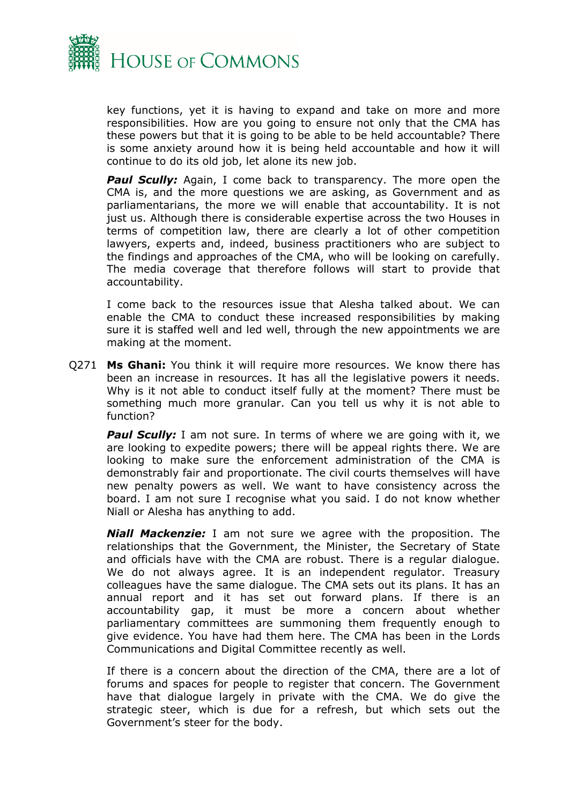

key functions, yet it is having to expand and take on more and more responsibilities. How are you going to ensure not only that the CMA has these powers but that it is going to be able to be held accountable? There is some anxiety around how it is being held accountable and how it will continue to do its old job, let alone its new job.

**Paul Scully:** Again, I come back to transparency. The more open the CMA is, and the more questions we are asking, as Government and as parliamentarians, the more we will enable that accountability. It is not just us. Although there is considerable expertise across the two Houses in terms of competition law, there are clearly a lot of other competition lawyers, experts and, indeed, business practitioners who are subject to the findings and approaches of the CMA, who will be looking on carefully. The media coverage that therefore follows will start to provide that accountability.

I come back to the resources issue that Alesha talked about. We can enable the CMA to conduct these increased responsibilities by making sure it is staffed well and led well, through the new appointments we are making at the moment.

Q271 **Ms Ghani:** You think it will require more resources. We know there has been an increase in resources. It has all the legislative powers it needs. Why is it not able to conduct itself fully at the moment? There must be something much more granular. Can you tell us why it is not able to function?

**Paul Scully:** I am not sure. In terms of where we are going with it, we are looking to expedite powers; there will be appeal rights there. We are looking to make sure the enforcement administration of the CMA is demonstrably fair and proportionate. The civil courts themselves will have new penalty powers as well. We want to have consistency across the board. I am not sure I recognise what you said. I do not know whether Niall or Alesha has anything to add.

*Niall Mackenzie:* I am not sure we agree with the proposition. The relationships that the Government, the Minister, the Secretary of State and officials have with the CMA are robust. There is a regular dialogue. We do not always agree. It is an independent regulator. Treasury colleagues have the same dialogue. The CMA sets out its plans. It has an annual report and it has set out forward plans. If there is an accountability gap, it must be more a concern about whether parliamentary committees are summoning them frequently enough to give evidence. You have had them here. The CMA has been in the Lords Communications and Digital Committee recently as well.

If there is a concern about the direction of the CMA, there are a lot of forums and spaces for people to register that concern. The Government have that dialogue largely in private with the CMA. We do give the strategic steer, which is due for a refresh, but which sets out the Government's steer for the body.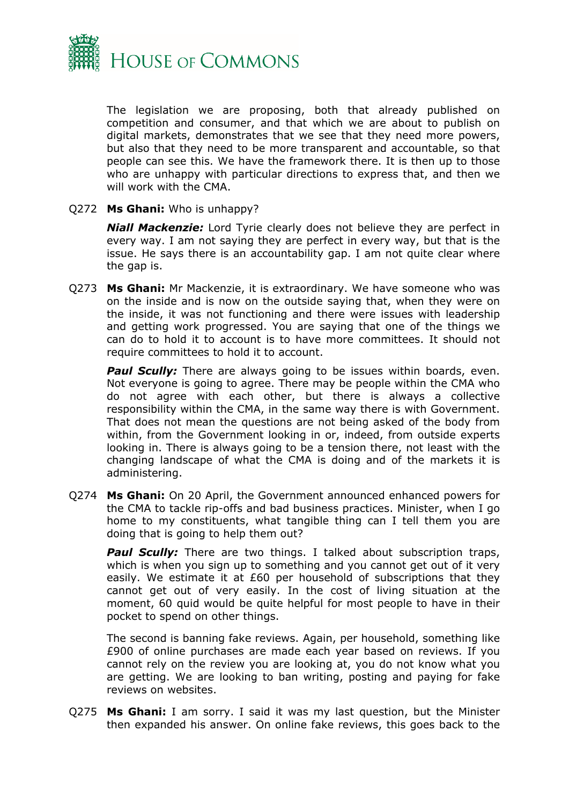

The legislation we are proposing, both that already published on competition and consumer, and that which we are about to publish on digital markets, demonstrates that we see that they need more powers, but also that they need to be more transparent and accountable, so that people can see this. We have the framework there. It is then up to those who are unhappy with particular directions to express that, and then we will work with the CMA.

#### Q272 **Ms Ghani:** Who is unhappy?

*Niall Mackenzie:* Lord Tyrie clearly does not believe they are perfect in every way. I am not saying they are perfect in every way, but that is the issue. He says there is an accountability gap. I am not quite clear where the gap is.

Q273 **Ms Ghani:** Mr Mackenzie, it is extraordinary. We have someone who was on the inside and is now on the outside saying that, when they were on the inside, it was not functioning and there were issues with leadership and getting work progressed. You are saying that one of the things we can do to hold it to account is to have more committees. It should not require committees to hold it to account.

**Paul Scully:** There are always going to be issues within boards, even. Not everyone is going to agree. There may be people within the CMA who do not agree with each other, but there is always a collective responsibility within the CMA, in the same way there is with Government. That does not mean the questions are not being asked of the body from within, from the Government looking in or, indeed, from outside experts looking in. There is always going to be a tension there, not least with the changing landscape of what the CMA is doing and of the markets it is administering.

Q274 **Ms Ghani:** On 20 April, the Government announced enhanced powers for the CMA to tackle rip-offs and bad business practices. Minister, when I go home to my constituents, what tangible thing can I tell them you are doing that is going to help them out?

**Paul Scully:** There are two things. I talked about subscription traps, which is when you sign up to something and you cannot get out of it very easily. We estimate it at £60 per household of subscriptions that they cannot get out of very easily. In the cost of living situation at the moment, 60 quid would be quite helpful for most people to have in their pocket to spend on other things.

The second is banning fake reviews. Again, per household, something like £900 of online purchases are made each year based on reviews. If you cannot rely on the review you are looking at, you do not know what you are getting. We are looking to ban writing, posting and paying for fake reviews on websites.

Q275 **Ms Ghani:** I am sorry. I said it was my last question, but the Minister then expanded his answer. On online fake reviews, this goes back to the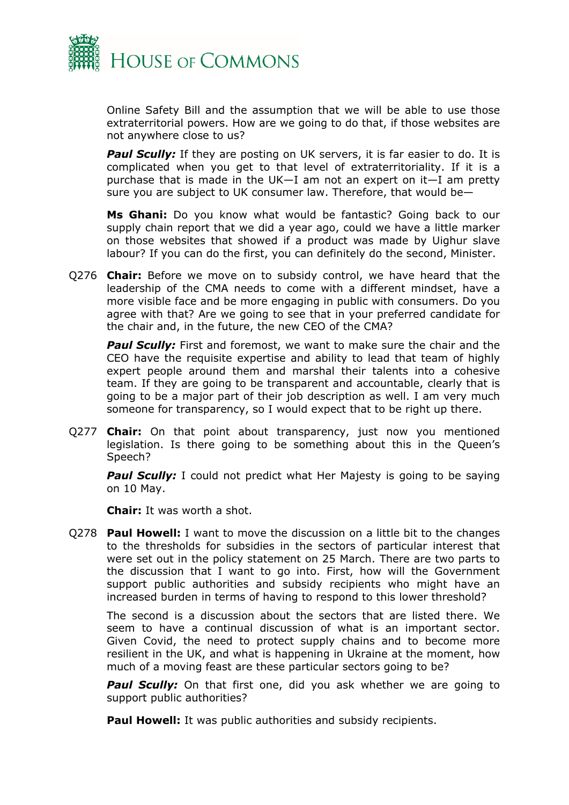

Online Safety Bill and the assumption that we will be able to use those extraterritorial powers. How are we going to do that, if those websites are not anywhere close to us?

**Paul Scully:** If they are posting on UK servers, it is far easier to do. It is complicated when you get to that level of extraterritoriality. If it is a purchase that is made in the UK—I am not an expert on it—I am pretty sure you are subject to UK consumer law. Therefore, that would be—

**Ms Ghani:** Do you know what would be fantastic? Going back to our supply chain report that we did a year ago, could we have a little marker on those websites that showed if a product was made by Uighur slave labour? If you can do the first, you can definitely do the second, Minister.

Q276 **Chair:** Before we move on to subsidy control, we have heard that the leadership of the CMA needs to come with a different mindset, have a more visible face and be more engaging in public with consumers. Do you agree with that? Are we going to see that in your preferred candidate for the chair and, in the future, the new CEO of the CMA?

**Paul Scully:** First and foremost, we want to make sure the chair and the CEO have the requisite expertise and ability to lead that team of highly expert people around them and marshal their talents into a cohesive team. If they are going to be transparent and accountable, clearly that is going to be a major part of their job description as well. I am very much someone for transparency, so I would expect that to be right up there.

Q277 **Chair:** On that point about transparency, just now you mentioned legislation. Is there going to be something about this in the Queen's Speech?

**Paul Scully:** I could not predict what Her Majesty is going to be saying on 10 May.

**Chair:** It was worth a shot.

Q278 **Paul Howell:** I want to move the discussion on a little bit to the changes to the thresholds for subsidies in the sectors of particular interest that were set out in the policy statement on 25 March. There are two parts to the discussion that I want to go into. First, how will the Government support public authorities and subsidy recipients who might have an increased burden in terms of having to respond to this lower threshold?

The second is a discussion about the sectors that are listed there. We seem to have a continual discussion of what is an important sector. Given Covid, the need to protect supply chains and to become more resilient in the UK, and what is happening in Ukraine at the moment, how much of a moving feast are these particular sectors going to be?

**Paul Scully:** On that first one, did you ask whether we are going to support public authorities?

**Paul Howell:** It was public authorities and subsidy recipients.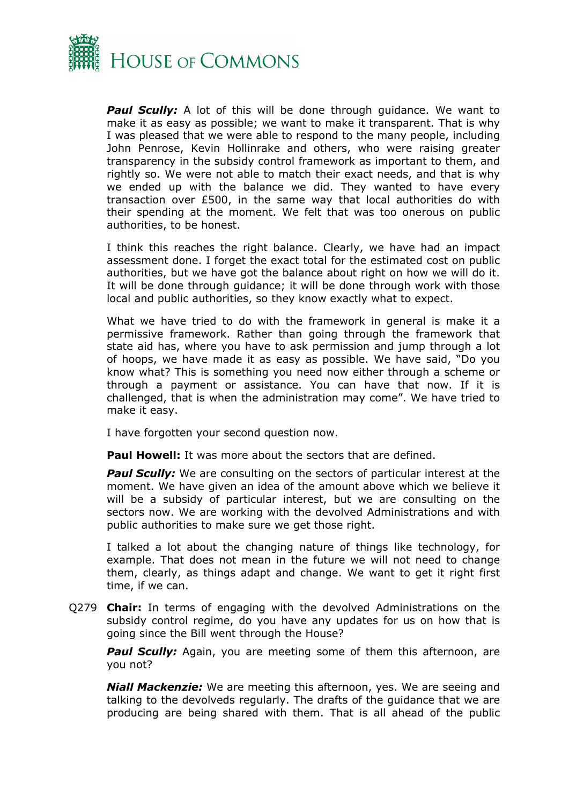

**Paul Scully:** A lot of this will be done through guidance. We want to make it as easy as possible; we want to make it transparent. That is why I was pleased that we were able to respond to the many people, including John Penrose, Kevin Hollinrake and others, who were raising greater transparency in the subsidy control framework as important to them, and rightly so. We were not able to match their exact needs, and that is why we ended up with the balance we did. They wanted to have every transaction over £500, in the same way that local authorities do with their spending at the moment. We felt that was too onerous on public authorities, to be honest.

I think this reaches the right balance. Clearly, we have had an impact assessment done. I forget the exact total for the estimated cost on public authorities, but we have got the balance about right on how we will do it. It will be done through guidance; it will be done through work with those local and public authorities, so they know exactly what to expect.

What we have tried to do with the framework in general is make it a permissive framework. Rather than going through the framework that state aid has, where you have to ask permission and jump through a lot of hoops, we have made it as easy as possible. We have said, "Do you know what? This is something you need now either through a scheme or through a payment or assistance. You can have that now. If it is challenged, that is when the administration may come". We have tried to make it easy.

I have forgotten your second question now.

**Paul Howell:** It was more about the sectors that are defined.

**Paul Scully:** We are consulting on the sectors of particular interest at the moment. We have given an idea of the amount above which we believe it will be a subsidy of particular interest, but we are consulting on the sectors now. We are working with the devolved Administrations and with public authorities to make sure we get those right.

I talked a lot about the changing nature of things like technology, for example. That does not mean in the future we will not need to change them, clearly, as things adapt and change. We want to get it right first time, if we can.

Q279 **Chair:** In terms of engaging with the devolved Administrations on the subsidy control regime, do you have any updates for us on how that is going since the Bill went through the House?

*Paul Scully:* Again, you are meeting some of them this afternoon, are you not?

*Niall Mackenzie:* We are meeting this afternoon, yes. We are seeing and talking to the devolveds regularly. The drafts of the guidance that we are producing are being shared with them. That is all ahead of the public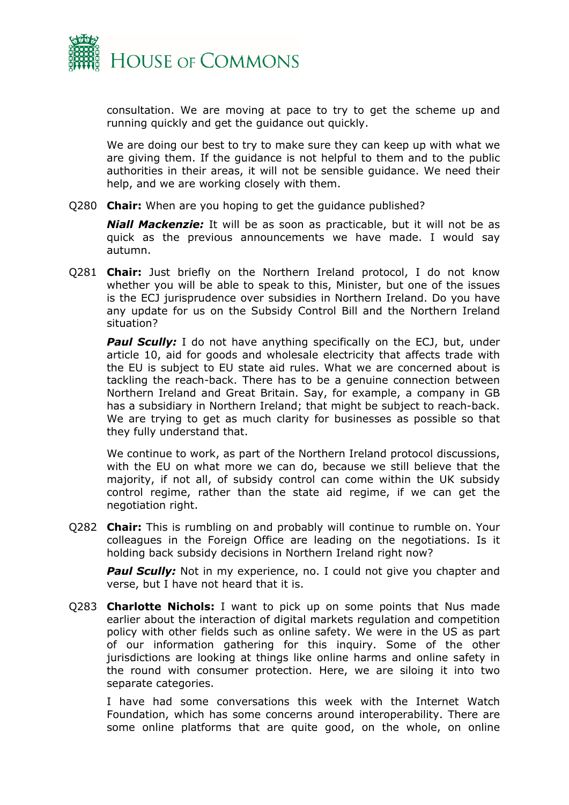

consultation. We are moving at pace to try to get the scheme up and running quickly and get the guidance out quickly.

We are doing our best to try to make sure they can keep up with what we are giving them. If the guidance is not helpful to them and to the public authorities in their areas, it will not be sensible guidance. We need their help, and we are working closely with them.

Q280 **Chair:** When are you hoping to get the guidance published?

*Niall Mackenzie:* It will be as soon as practicable, but it will not be as quick as the previous announcements we have made. I would say autumn.

Q281 **Chair:** Just briefly on the Northern Ireland protocol, I do not know whether you will be able to speak to this, Minister, but one of the issues is the ECJ jurisprudence over subsidies in Northern Ireland. Do you have any update for us on the Subsidy Control Bill and the Northern Ireland situation?

**Paul Scully:** I do not have anything specifically on the ECJ, but, under article 10, aid for goods and wholesale electricity that affects trade with the EU is subject to EU state aid rules. What we are concerned about is tackling the reach-back. There has to be a genuine connection between Northern Ireland and Great Britain. Say, for example, a company in GB has a subsidiary in Northern Ireland; that might be subject to reach-back. We are trying to get as much clarity for businesses as possible so that they fully understand that.

We continue to work, as part of the Northern Ireland protocol discussions, with the EU on what more we can do, because we still believe that the majority, if not all, of subsidy control can come within the UK subsidy control regime, rather than the state aid regime, if we can get the negotiation right.

Q282 **Chair:** This is rumbling on and probably will continue to rumble on. Your colleagues in the Foreign Office are leading on the negotiations. Is it holding back subsidy decisions in Northern Ireland right now?

**Paul Scully:** Not in my experience, no. I could not give you chapter and verse, but I have not heard that it is.

Q283 **Charlotte Nichols:** I want to pick up on some points that Nus made earlier about the interaction of digital markets regulation and competition policy with other fields such as online safety. We were in the US as part of our information gathering for this inquiry. Some of the other jurisdictions are looking at things like online harms and online safety in the round with consumer protection. Here, we are siloing it into two separate categories.

I have had some conversations this week with the Internet Watch Foundation, which has some concerns around interoperability. There are some online platforms that are quite good, on the whole, on online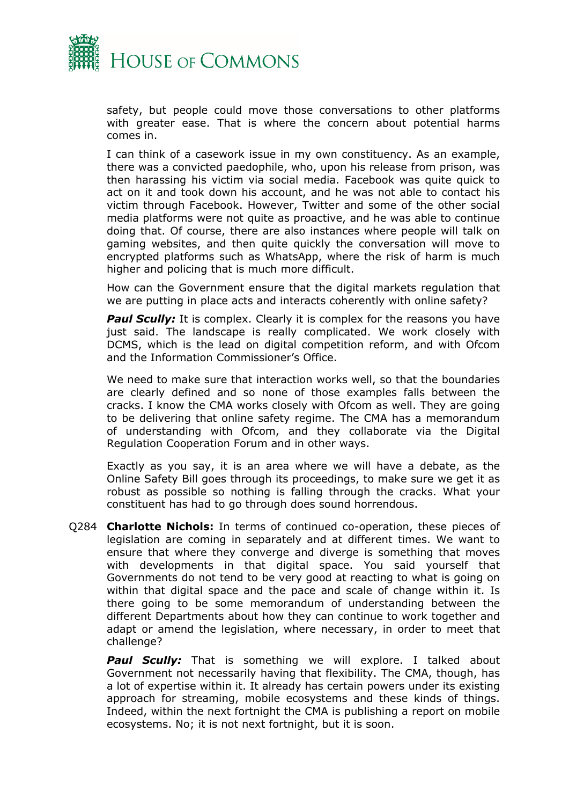

safety, but people could move those conversations to other platforms with greater ease. That is where the concern about potential harms comes in.

I can think of a casework issue in my own constituency. As an example, there was a convicted paedophile, who, upon his release from prison, was then harassing his victim via social media. Facebook was quite quick to act on it and took down his account, and he was not able to contact his victim through Facebook. However, Twitter and some of the other social media platforms were not quite as proactive, and he was able to continue doing that. Of course, there are also instances where people will talk on gaming websites, and then quite quickly the conversation will move to encrypted platforms such as WhatsApp, where the risk of harm is much higher and policing that is much more difficult.

How can the Government ensure that the digital markets regulation that we are putting in place acts and interacts coherently with online safety?

**Paul Scully:** It is complex. Clearly it is complex for the reasons you have just said. The landscape is really complicated. We work closely with DCMS, which is the lead on digital competition reform, and with Ofcom and the Information Commissioner's Office.

We need to make sure that interaction works well, so that the boundaries are clearly defined and so none of those examples falls between the cracks. I know the CMA works closely with Ofcom as well. They are going to be delivering that online safety regime. The CMA has a memorandum of understanding with Ofcom, and they collaborate via the Digital Regulation Cooperation Forum and in other ways.

Exactly as you say, it is an area where we will have a debate, as the Online Safety Bill goes through its proceedings, to make sure we get it as robust as possible so nothing is falling through the cracks. What your constituent has had to go through does sound horrendous.

Q284 **Charlotte Nichols:** In terms of continued co-operation, these pieces of legislation are coming in separately and at different times. We want to ensure that where they converge and diverge is something that moves with developments in that digital space. You said yourself that Governments do not tend to be very good at reacting to what is going on within that digital space and the pace and scale of change within it. Is there going to be some memorandum of understanding between the different Departments about how they can continue to work together and adapt or amend the legislation, where necessary, in order to meet that challenge?

**Paul Scully:** That is something we will explore. I talked about Government not necessarily having that flexibility. The CMA, though, has a lot of expertise within it. It already has certain powers under its existing approach for streaming, mobile ecosystems and these kinds of things. Indeed, within the next fortnight the CMA is publishing a report on mobile ecosystems. No; it is not next fortnight, but it is soon.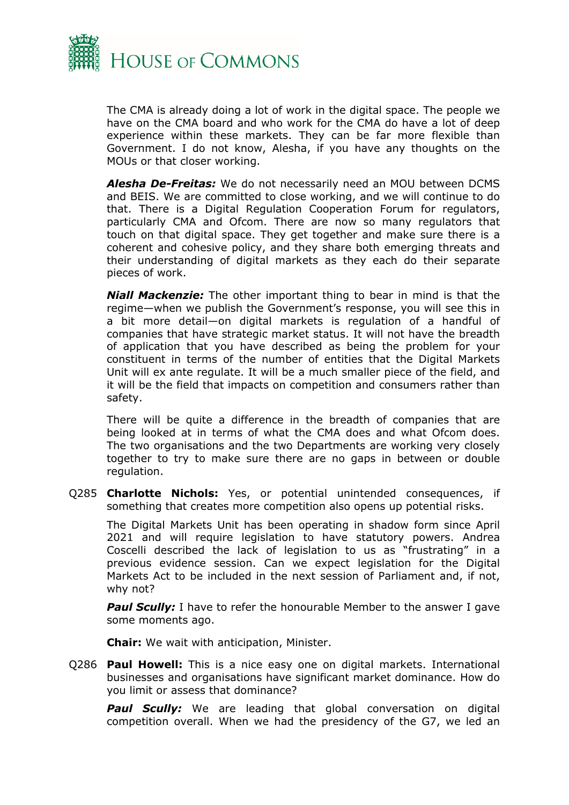

The CMA is already doing a lot of work in the digital space. The people we have on the CMA board and who work for the CMA do have a lot of deep experience within these markets. They can be far more flexible than Government. I do not know, Alesha, if you have any thoughts on the MOUs or that closer working.

*Alesha De-Freitas:* We do not necessarily need an MOU between DCMS and BEIS. We are committed to close working, and we will continue to do that. There is a Digital Regulation Cooperation Forum for regulators, particularly CMA and Ofcom. There are now so many regulators that touch on that digital space. They get together and make sure there is a coherent and cohesive policy, and they share both emerging threats and their understanding of digital markets as they each do their separate pieces of work.

*Niall Mackenzie:* The other important thing to bear in mind is that the regime—when we publish the Government's response, you will see this in a bit more detail—on digital markets is regulation of a handful of companies that have strategic market status. It will not have the breadth of application that you have described as being the problem for your constituent in terms of the number of entities that the Digital Markets Unit will ex ante regulate. It will be a much smaller piece of the field, and it will be the field that impacts on competition and consumers rather than safety.

There will be quite a difference in the breadth of companies that are being looked at in terms of what the CMA does and what Ofcom does. The two organisations and the two Departments are working very closely together to try to make sure there are no gaps in between or double regulation.

Q285 **Charlotte Nichols:** Yes, or potential unintended consequences, if something that creates more competition also opens up potential risks.

The Digital Markets Unit has been operating in shadow form since April 2021 and will require legislation to have statutory powers. Andrea Coscelli described the lack of legislation to us as "frustrating" in a previous evidence session. Can we expect legislation for the Digital Markets Act to be included in the next session of Parliament and, if not, why not?

**Paul Scully:** I have to refer the honourable Member to the answer I gave some moments ago.

**Chair:** We wait with anticipation, Minister.

Q286 **Paul Howell:** This is a nice easy one on digital markets. International businesses and organisations have significant market dominance. How do you limit or assess that dominance?

**Paul Scully:** We are leading that global conversation on digital competition overall. When we had the presidency of the G7, we led an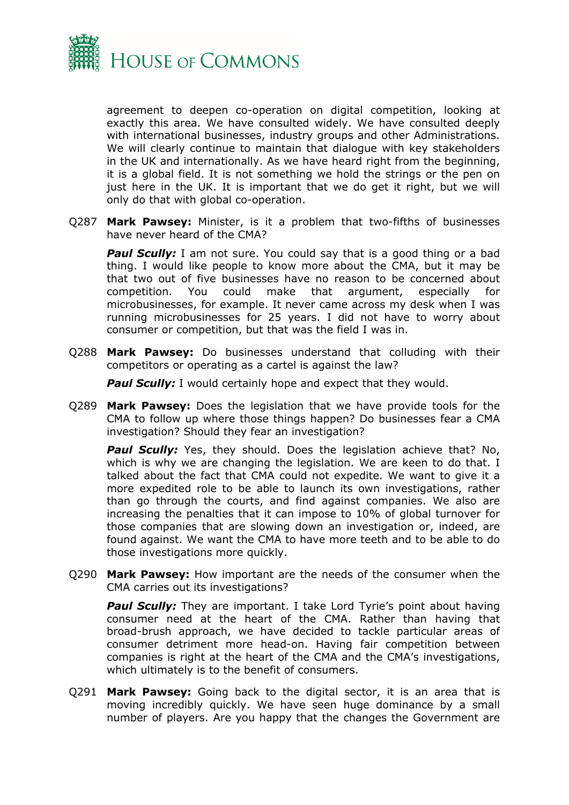

agreement to deepen co-operation on digital competition, looking at exactly this area. We have consulted widely. We have consulted deeply with international businesses, industry groups and other Administrations. We will clearly continue to maintain that dialogue with key stakeholders in the UK and internationally. As we have heard right from the beginning, it is a global field. It is not something we hold the strings or the pen on just here in the UK. It is important that we do get it right, but we will only do that with global co-operation.

Q287 **Mark Pawsey:** Minister, is it a problem that two-fifths of businesses have never heard of the CMA?

**Paul Scully:** I am not sure. You could say that is a good thing or a bad thing. I would like people to know more about the CMA, but it may be that two out of five businesses have no reason to be concerned about competition. You could make that argument, especially for microbusinesses, for example. It never came across my desk when I was running microbusinesses for 25 years. I did not have to worry about consumer or competition, but that was the field I was in.

Q288 **Mark Pawsey:** Do businesses understand that colluding with their competitors or operating as a cartel is against the law?

**Paul Scully:** I would certainly hope and expect that they would.

Q289 **Mark Pawsey:** Does the legislation that we have provide tools for the CMA to follow up where those things happen? Do businesses fear a CMA investigation? Should they fear an investigation?

**Paul Scully:** Yes, they should. Does the legislation achieve that? No, which is why we are changing the legislation. We are keen to do that. I talked about the fact that CMA could not expedite. We want to give it a more expedited role to be able to launch its own investigations, rather than go through the courts, and find against companies. We also are increasing the penalties that it can impose to 10% of global turnover for those companies that are slowing down an investigation or, indeed, are found against. We want the CMA to have more teeth and to be able to do those investigations more quickly.

Q290 **Mark Pawsey:** How important are the needs of the consumer when the CMA carries out its investigations?

**Paul Scully:** They are important. I take Lord Tyrie's point about having consumer need at the heart of the CMA. Rather than having that broad-brush approach, we have decided to tackle particular areas of consumer detriment more head-on. Having fair competition between companies is right at the heart of the CMA and the CMA's investigations, which ultimately is to the benefit of consumers.

Q291 **Mark Pawsey:** Going back to the digital sector, it is an area that is moving incredibly quickly. We have seen huge dominance by a small number of players. Are you happy that the changes the Government are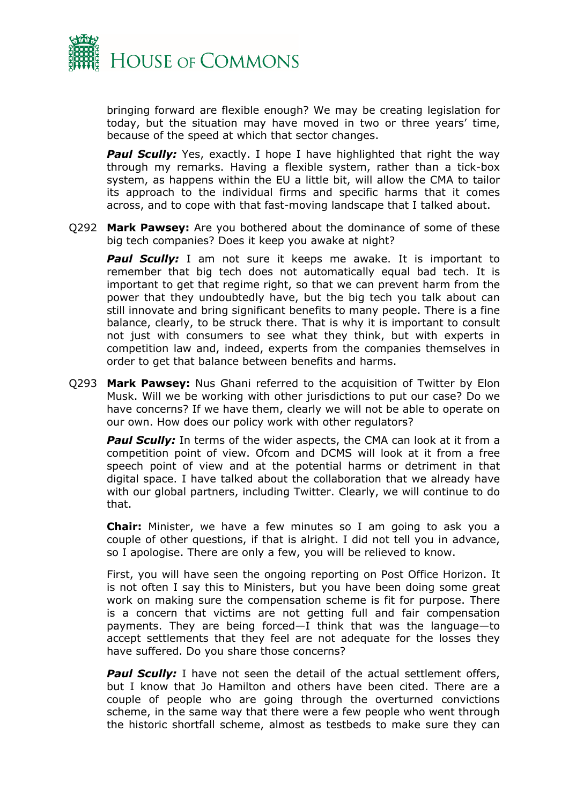

bringing forward are flexible enough? We may be creating legislation for today, but the situation may have moved in two or three years' time, because of the speed at which that sector changes.

**Paul Scully:** Yes, exactly. I hope I have highlighted that right the way through my remarks. Having a flexible system, rather than a tick-box system, as happens within the EU a little bit, will allow the CMA to tailor its approach to the individual firms and specific harms that it comes across, and to cope with that fast-moving landscape that I talked about.

Q292 **Mark Pawsey:** Are you bothered about the dominance of some of these big tech companies? Does it keep you awake at night?

**Paul Scully:** I am not sure it keeps me awake. It is important to remember that big tech does not automatically equal bad tech. It is important to get that regime right, so that we can prevent harm from the power that they undoubtedly have, but the big tech you talk about can still innovate and bring significant benefits to many people. There is a fine balance, clearly, to be struck there. That is why it is important to consult not just with consumers to see what they think, but with experts in competition law and, indeed, experts from the companies themselves in order to get that balance between benefits and harms.

Q293 **Mark Pawsey:** Nus Ghani referred to the acquisition of Twitter by Elon Musk. Will we be working with other jurisdictions to put our case? Do we have concerns? If we have them, clearly we will not be able to operate on our own. How does our policy work with other regulators?

**Paul Scully:** In terms of the wider aspects, the CMA can look at it from a competition point of view. Ofcom and DCMS will look at it from a free speech point of view and at the potential harms or detriment in that digital space. I have talked about the collaboration that we already have with our global partners, including Twitter. Clearly, we will continue to do that.

**Chair:** Minister, we have a few minutes so I am going to ask you a couple of other questions, if that is alright. I did not tell you in advance, so I apologise. There are only a few, you will be relieved to know.

First, you will have seen the ongoing reporting on Post Office Horizon. It is not often I say this to Ministers, but you have been doing some great work on making sure the compensation scheme is fit for purpose. There is a concern that victims are not getting full and fair compensation payments. They are being forced—I think that was the language—to accept settlements that they feel are not adequate for the losses they have suffered. Do you share those concerns?

**Paul Scully:** I have not seen the detail of the actual settlement offers, but I know that Jo Hamilton and others have been cited. There are a couple of people who are going through the overturned convictions scheme, in the same way that there were a few people who went through the historic shortfall scheme, almost as testbeds to make sure they can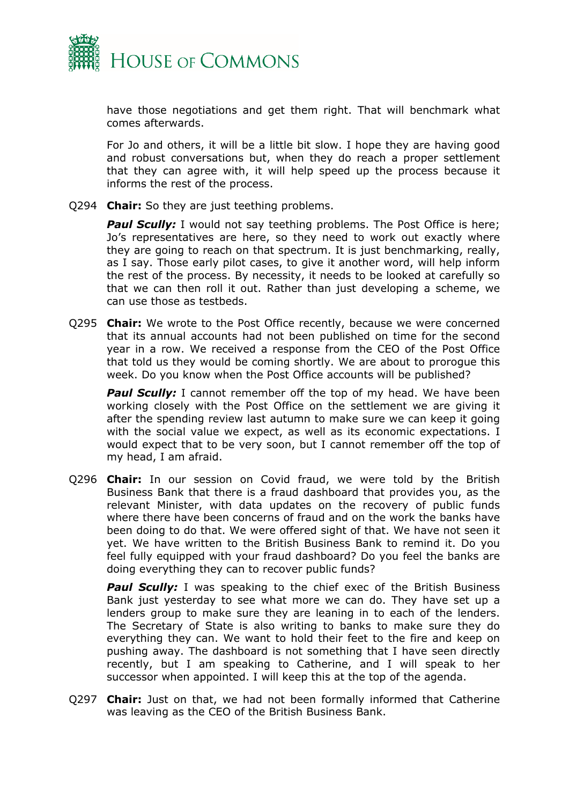

have those negotiations and get them right. That will benchmark what comes afterwards.

For Jo and others, it will be a little bit slow. I hope they are having good and robust conversations but, when they do reach a proper settlement that they can agree with, it will help speed up the process because it informs the rest of the process.

Q294 **Chair:** So they are just teething problems.

**Paul Scully:** I would not say teething problems. The Post Office is here; Jo's representatives are here, so they need to work out exactly where they are going to reach on that spectrum. It is just benchmarking, really, as I say. Those early pilot cases, to give it another word, will help inform the rest of the process. By necessity, it needs to be looked at carefully so that we can then roll it out. Rather than just developing a scheme, we can use those as testbeds.

Q295 **Chair:** We wrote to the Post Office recently, because we were concerned that its annual accounts had not been published on time for the second year in a row. We received a response from the CEO of the Post Office that told us they would be coming shortly. We are about to prorogue this week. Do you know when the Post Office accounts will be published?

**Paul Scully:** I cannot remember off the top of my head. We have been working closely with the Post Office on the settlement we are giving it after the spending review last autumn to make sure we can keep it going with the social value we expect, as well as its economic expectations. I would expect that to be very soon, but I cannot remember off the top of my head, I am afraid.

Q296 **Chair:** In our session on Covid fraud, we were told by the British Business Bank that there is a fraud dashboard that provides you, as the relevant Minister, with data updates on the recovery of public funds where there have been concerns of fraud and on the work the banks have been doing to do that. We were offered sight of that. We have not seen it yet. We have written to the British Business Bank to remind it. Do you feel fully equipped with your fraud dashboard? Do you feel the banks are doing everything they can to recover public funds?

**Paul Scully:** I was speaking to the chief exec of the British Business Bank just yesterday to see what more we can do. They have set up a lenders group to make sure they are leaning in to each of the lenders. The Secretary of State is also writing to banks to make sure they do everything they can. We want to hold their feet to the fire and keep on pushing away. The dashboard is not something that I have seen directly recently, but I am speaking to Catherine, and I will speak to her successor when appointed. I will keep this at the top of the agenda.

Q297 **Chair:** Just on that, we had not been formally informed that Catherine was leaving as the CEO of the British Business Bank.